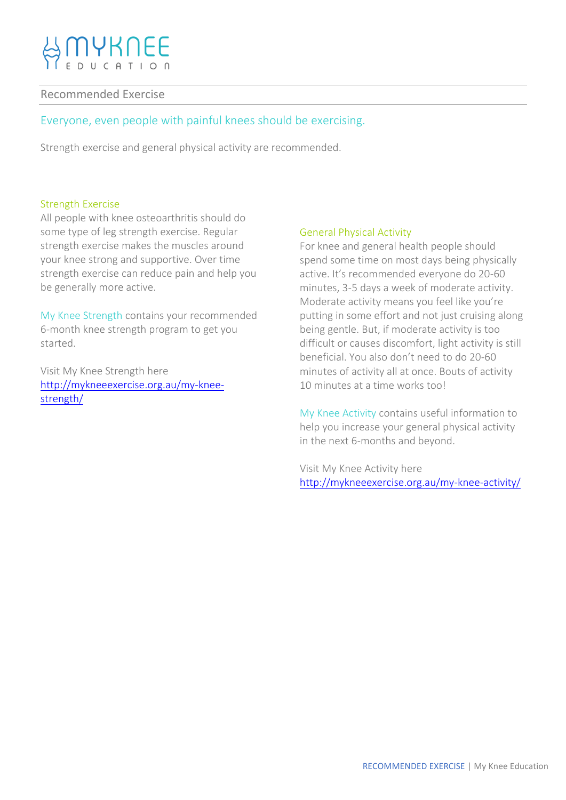# **IYKNEE**

## Recommended Exercise

# Everyone, even people with painful knees should be exercising.

Strength exercise and general physical activity are recommended.

#### Strength Exercise

All people with knee osteoarthritis should do some type of leg strength exercise. Regular strength exercise makes the muscles around your knee strong and supportive. Over time strength exercise can reduce pain and help you be generally more active.

My Knee Strength contains your recommended 6-month knee strength program to get you started.

Visit My Knee Strength here [http://mykneeexercise.org.au/my-knee](http://mykneeexercise.org.au/my-knee-strength/)[strength/](http://mykneeexercise.org.au/my-knee-strength/)

### General Physical Activity

For knee and general health people should spend some time on most days being physically active. It's recommended everyone do 20-60 minutes, 3-5 days a week of moderate activity. Moderate activity means you feel like you're putting in some effort and not just cruising along being gentle. But, if moderate activity is too difficult or causes discomfort, light activity is still beneficial. You also don't need to do 20-60 minutes of activity all at once. Bouts of activity 10 minutes at a time works too!

My Knee Activity contains useful information to help you increase your general physical activity in the next 6-months and beyond.

Visit My Knee Activity here <http://mykneeexercise.org.au/my-knee-activity/>